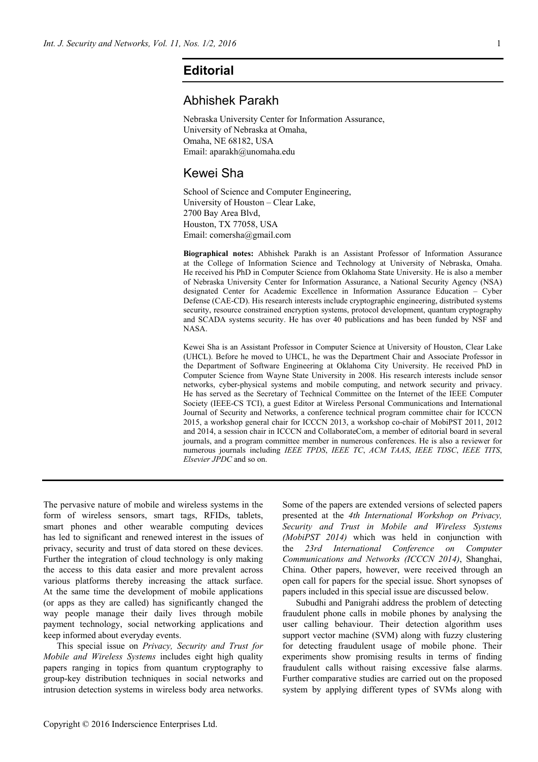## **Editorial**

## Abhishek Parakh

Nebraska University Center for Information Assurance, University of Nebraska at Omaha, Omaha, NE 68182, USA Email: aparakh@unomaha.edu

## Kewei Sha

School of Science and Computer Engineering, University of Houston – Clear Lake, 2700 Bay Area Blvd, Houston, TX 77058, USA Email: comersha@gmail.com

**Biographical notes:** Abhishek Parakh is an Assistant Professor of Information Assurance at the College of Information Science and Technology at University of Nebraska, Omaha. He received his PhD in Computer Science from Oklahoma State University. He is also a member of Nebraska University Center for Information Assurance, a National Security Agency (NSA) designated Center for Academic Excellence in Information Assurance Education – Cyber Defense (CAE-CD). His research interests include cryptographic engineering, distributed systems security, resource constrained encryption systems, protocol development, quantum cryptography and SCADA systems security. He has over 40 publications and has been funded by NSF and NASA.

Kewei Sha is an Assistant Professor in Computer Science at University of Houston, Clear Lake (UHCL). Before he moved to UHCL, he was the Department Chair and Associate Professor in the Department of Software Engineering at Oklahoma City University. He received PhD in Computer Science from Wayne State University in 2008. His research interests include sensor networks, cyber-physical systems and mobile computing, and network security and privacy. He has served as the Secretary of Technical Committee on the Internet of the IEEE Computer Society (IEEE-CS TCI), a guest Editor at Wireless Personal Communications and International Journal of Security and Networks, a conference technical program committee chair for ICCCN 2015, a workshop general chair for ICCCN 2013, a workshop co-chair of MobiPST 2011, 2012 and 2014, a session chair in ICCCN and CollaborateCom, a member of editorial board in several journals, and a program committee member in numerous conferences. He is also a reviewer for numerous journals including *IEEE TPDS*, *IEEE TC*, *ACM TAAS*, *IEEE TDSC*, *IEEE TITS*, *Elsevier JPDC* and so on.

The pervasive nature of mobile and wireless systems in the form of wireless sensors, smart tags, RFIDs, tablets, smart phones and other wearable computing devices has led to significant and renewed interest in the issues of privacy, security and trust of data stored on these devices. Further the integration of cloud technology is only making the access to this data easier and more prevalent across various platforms thereby increasing the attack surface. At the same time the development of mobile applications (or apps as they are called) has significantly changed the way people manage their daily lives through mobile payment technology, social networking applications and keep informed about everyday events.

This special issue on *Privacy, Security and Trust for Mobile and Wireless Systems* includes eight high quality papers ranging in topics from quantum cryptography to group-key distribution techniques in social networks and intrusion detection systems in wireless body area networks.

Some of the papers are extended versions of selected papers presented at the *4th International Workshop on Privacy, Security and Trust in Mobile and Wireless Systems (MobiPST 2014)* which was held in conjunction with the *23rd International Conference on Computer Communications and Networks (ICCCN 2014)*, Shanghai, China. Other papers, however, were received through an open call for papers for the special issue. Short synopses of papers included in this special issue are discussed below.

Subudhi and Panigrahi address the problem of detecting fraudulent phone calls in mobile phones by analysing the user calling behaviour. Their detection algorithm uses support vector machine (SVM) along with fuzzy clustering for detecting fraudulent usage of mobile phone. Their experiments show promising results in terms of finding fraudulent calls without raising excessive false alarms. Further comparative studies are carried out on the proposed system by applying different types of SVMs along with